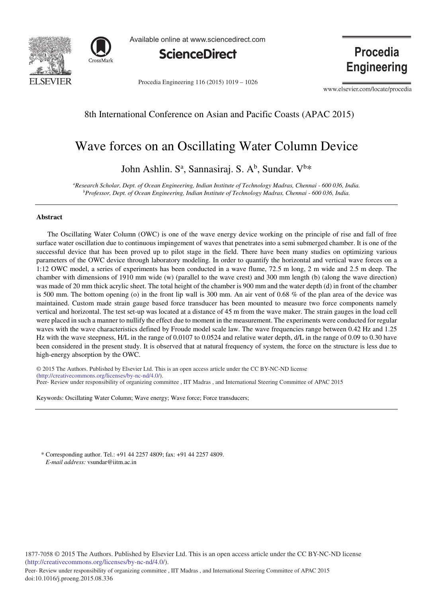



Available online at www.sciencedirect.com



Procedia Engineering 116 (2015) 1019 - 1026

**Engineering** 

**Procedia** 

www.elsevier.com/locate/procedia

# 8th International Conference on Asian and Pacific Coasts (APAC 2015)

# Wave forces on an Oscillating Water Column Device

John Ashlin. S<sup>a</sup>, Sannasiraj. S. A<sup>b</sup>, Sundar. V<sup>b</sup>\*

*a Research Scholar, Dept. of Ocean Engineering, Indian Institute of Technology Madras, Chennai - 600 036, India. b Professor, Dept. of Ocean Engineering, Indian Institute of Technology Madras, Chennai - 600 036, India.*

#### **Abstract**

The Oscillating Water Column (OWC) is one of the wave energy device working on the principle of rise and fall of free surface water oscillation due to continuous impingement of waves that penetrates into a semi submerged chamber. It is one of the successful device that has been proved up to pilot stage in the field. There have been many studies on optimizing various parameters of the OWC device through laboratory modeling. In order to quantify the horizontal and vertical wave forces on a 1:12 OWC model, a series of experiments has been conducted in a wave flume, 72.5 m long, 2 m wide and 2.5 m deep. The chamber with dimensions of 1910 mm wide (w) (parallel to the wave crest) and 300 mm length (b) (along the wave direction) was made of 20 mm thick acrylic sheet. The total height of the chamber is 900 mm and the water depth (d) in front of the chamber is 500 mm. The bottom opening (o) in the front lip wall is 300 mm. An air vent of 0.68 % of the plan area of the device was maintained. Custom made strain gauge based force transducer has been mounted to measure two force components namely vertical and horizontal. The test set-up was located at a distance of 45 m from the wave maker. The strain gauges in the load cell were placed in such a manner to nullify the effect due to moment in the measurement. The experiments were conducted for regular waves with the wave characteristics defined by Froude model scale law. The wave frequencies range between 0.42 Hz and 1.25 Hz with the wave steepness, H/L in the range of 0.0107 to 0.0524 and relative water depth, d/L in the range of 0.09 to 0.30 have been considered in the present study. It is observed that at natural frequency of system, the force on the structure is less due to high-energy absorption by the OWC.

© 2014 The Authors. Published by Elsevier B.V. (http://creativecommons.org/licenses/by-nc-nd/4.0/). Peer-Review under responsibility of organizing committee , IIT Madras , and International Steering Committee of APAC 2015 © 2015 The Authors. Published by Elsevier Ltd. This is an open access article under the CC BY-NC-ND license

Keywords: Oscillating Water Column; Wave energy; Wave force; Force transducers;

\* Corresponding author. Tel.: +91 44 2257 4809; fax: +91 44 2257 4809. *E-mail address:* vsundar@iitm.ac.in

1877-7058 © 2015 The Authors. Published by Elsevier Ltd. This is an open access article under the CC BY-NC-ND license (http://creativecommons.org/licenses/by-nc-nd/4.0/).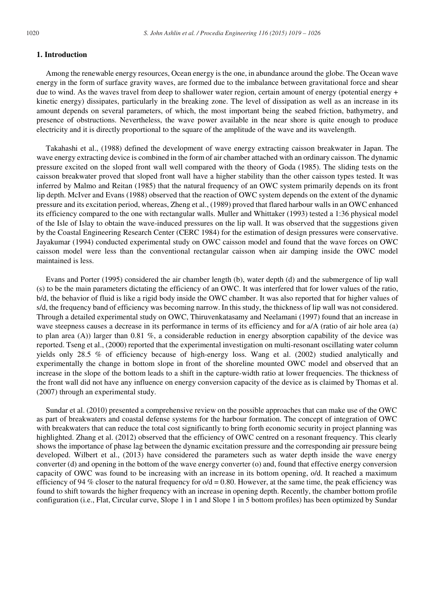## **1. Introduction**

Among the renewable energy resources, Ocean energy is the one, in abundance around the globe. The Ocean wave energy in the form of surface gravity waves, are formed due to the imbalance between gravitational force and shear due to wind. As the waves travel from deep to shallower water region, certain amount of energy (potential energy + kinetic energy) dissipates, particularly in the breaking zone. The level of dissipation as well as an increase in its amount depends on several parameters, of which, the most important being the seabed friction, bathymetry, and presence of obstructions. Nevertheless, the wave power available in the near shore is quite enough to produce electricity and it is directly proportional to the square of the amplitude of the wave and its wavelength.

Takahashi et al., (1988) defined the development of wave energy extracting caisson breakwater in Japan. The wave energy extracting device is combined in the form of air chamber attached with an ordinary caisson. The dynamic pressure excited on the sloped front wall well compared with the theory of Goda (1985). The sliding tests on the caisson breakwater proved that sloped front wall have a higher stability than the other caisson types tested. It was inferred by Malmo and Reitan (1985) that the natural frequency of an OWC system primarily depends on its front lip depth. McIver and Evans (1988) observed that the reaction of OWC system depends on the extent of the dynamic pressure and its excitation period, whereas, Zheng et al., (1989) proved that flared harbour walls in an OWC enhanced its efficiency compared to the one with rectangular walls. Muller and Whittaker (1993) tested a 1:36 physical model of the Isle of Islay to obtain the wave-induced pressures on the lip wall. It was observed that the suggestions given by the Coastal Engineering Research Center (CERC 1984) for the estimation of design pressures were conservative. Jayakumar (1994) conducted experimental study on OWC caisson model and found that the wave forces on OWC caisson model were less than the conventional rectangular caisson when air damping inside the OWC model maintained is less.

Evans and Porter (1995) considered the air chamber length (b), water depth (d) and the submergence of lip wall (s) to be the main parameters dictating the efficiency of an OWC. It was interfered that for lower values of the ratio, b/d, the behavior of fluid is like a rigid body inside the OWC chamber. It was also reported that for higher values of s/d, the frequency band of efficiency was becoming narrow. In this study, the thickness of lip wall was not considered. Through a detailed experimental study on OWC, Thiruvenkatasamy and Neelamani (1997) found that an increase in wave steepness causes a decrease in its performance in terms of its efficiency and for a/A (ratio of air hole area (a) to plan area (A)) larger than 0.81 %, a considerable reduction in energy absorption capability of the device was reported. Tseng et al., (2000) reported that the experimental investigation on multi-resonant oscillating water column yields only 28.5 % of efficiency because of high-energy loss. Wang et al. (2002) studied analytically and experimentally the change in bottom slope in front of the shoreline mounted OWC model and observed that an increase in the slope of the bottom leads to a shift in the capture-width ratio at lower frequencies. The thickness of the front wall did not have any influence on energy conversion capacity of the device as is claimed by Thomas et al. (2007) through an experimental study.

Sundar et al. (2010) presented a comprehensive review on the possible approaches that can make use of the OWC as part of breakwaters and coastal defense systems for the harbour formation. The concept of integration of OWC with breakwaters that can reduce the total cost significantly to bring forth economic security in project planning was highlighted. Zhang et al. (2012) observed that the efficiency of OWC centred on a resonant frequency. This clearly shows the importance of phase lag between the dynamic excitation pressure and the corresponding air pressure being developed. Wilbert et al., (2013) have considered the parameters such as water depth inside the wave energy converter (d) and opening in the bottom of the wave energy converter (o) and, found that effective energy conversion capacity of OWC was found to be increasing with an increase in its bottom opening, o/d. It reached a maximum efficiency of 94 % closer to the natural frequency for  $\omega/d = 0.80$ . However, at the same time, the peak efficiency was found to shift towards the higher frequency with an increase in opening depth. Recently, the chamber bottom profile configuration (i.e., Flat, Circular curve, Slope 1 in 1 and Slope 1 in 5 bottom profiles) has been optimized by Sundar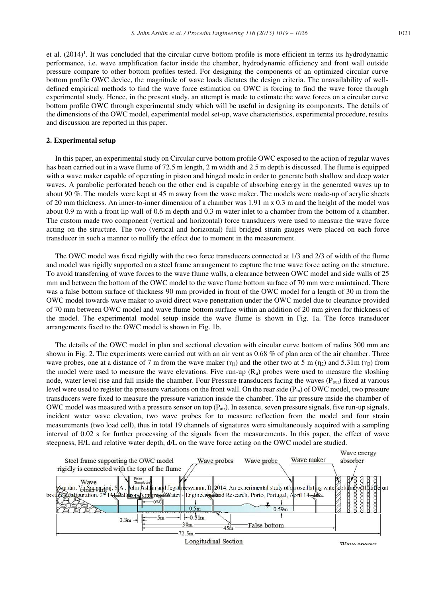et al.  $(2014)^1$ . It was concluded that the circular curve bottom profile is more efficient in terms its hydrodynamic performance, i.e. wave amplification factor inside the chamber, hydrodynamic efficiency and front wall outside pressure compare to other bottom profiles tested. For designing the components of an optimized circular curve bottom profile OWC device, the magnitude of wave loads dictates the design criteria. The unavailability of welldefined empirical methods to find the wave force estimation on OWC is forcing to find the wave force through experimental study. Hence, in the present study, an attempt is made to estimate the wave forces on a circular curve bottom profile OWC through experimental study which will be useful in designing its components. The details of the dimensions of the OWC model, experimental model set-up, wave characteristics, experimental procedure, results and discussion are reported in this paper.

#### **2. Experimental setup**

In this paper, an experimental study on Circular curve bottom profile OWC exposed to the action of regular waves has been carried out in a wave flume of 72.5 m length, 2 m width and 2.5 m depth is discussed. The flume is equipped with a wave maker capable of operating in piston and hinged mode in order to generate both shallow and deep water waves. A parabolic perforated beach on the other end is capable of absorbing energy in the generated waves up to about 90 %. The models were kept at 45 m away from the wave maker. The models were made-up of acrylic sheets of 20 mm thickness. An inner-to-inner dimension of a chamber was 1.91 m x 0.3 m and the height of the model was about 0.9 m with a front lip wall of 0.6 m depth and 0.3 m water inlet to a chamber from the bottom of a chamber. The custom made two component (vertical and horizontal) force transducers were used to measure the wave force acting on the structure. The two (vertical and horizontal) full bridged strain gauges were placed on each force transducer in such a manner to nullify the effect due to moment in the measurement.

The OWC model was fixed rigidly with the two force transducers connected at 1/3 and 2/3 of width of the flume and model was rigidly supported on a steel frame arrangement to capture the true wave force acting on the structure. To avoid transferring of wave forces to the wave flume walls, a clearance between OWC model and side walls of 25 mm and between the bottom of the OWC model to the wave flume bottom surface of 70 mm were maintained. There was a false bottom surface of thickness 90 mm provided in front of the OWC model for a length of 30 m from the OWC model towards wave maker to avoid direct wave penetration under the OWC model due to clearance provided of 70 mm between OWC model and wave flume bottom surface within an addition of 20 mm given for thickness of the model. The experimental model setup inside the wave flume is shown in Fig. 1a. The force transducer arrangements fixed to the OWC model is shown in Fig. 1b.

The details of the OWC model in plan and sectional elevation with circular curve bottom of radius 300 mm are shown in Fig. 2. The experiments were carried out with an air vent as 0.68 % of plan area of the air chamber. Three wave probes, one at a distance of 7 m from the wave maker  $(\eta_1)$  and the other two at 5 m  $(\eta_2)$  and 5.31m  $(\eta_3)$  from the model were used to measure the wave elevations. Five run-up (Ru) probes were used to measure the sloshing node, water level rise and fall inside the chamber. Four Pressure transducers facing the waves (Pout) fixed at various level were used to register the pressure variations on the front wall. On the rear side  $(P_{in})$  of OWC model, two pressure transducers were fixed to measure the pressure variation inside the chamber. The air pressure inside the chamber of OWC model was measured with a pressure sensor on top  $(P_{air})$ . In essence, seven pressure signals, five run-up signals, incident water wave elevation, two wave probes for to measure reflection from the model and four strain measurements (two load cell), thus in total 19 channels of signatures were simultaneously acquired with a sampling interval of 0.02 s for further processing of the signals from the measurements. In this paper, the effect of wave steepness, H/L and relative water depth, d/L on the wave force acting on the OWC model are studied.



Longitudinal Section

Waya anarow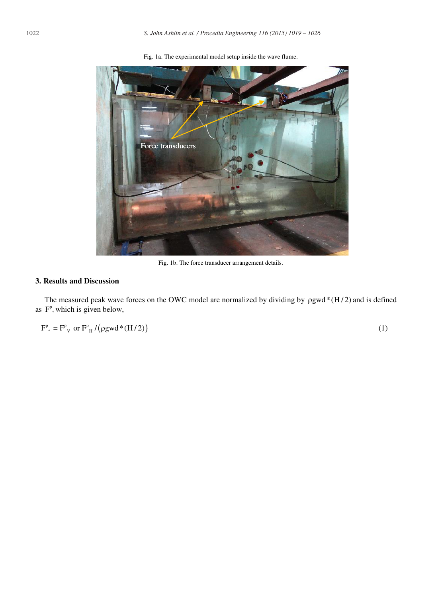

Fig. 1a. The experimental model setup inside the wave flume.

Fig. 1b. The force transducer arrangement details.

# **3. Results and Discussion**

The measured peak wave forces on the OWC model are normalized by dividing by  $\rho gwd*(H/2)$  and is defined as  $F^p$ , which is given below,

 $F^{\text{p}}_{*} = F^{\text{p}}_{\text{V}}$  or  $F^{\text{p}}_{\text{H}} / (\text{pgwd} * (\text{H}/2))$  (1)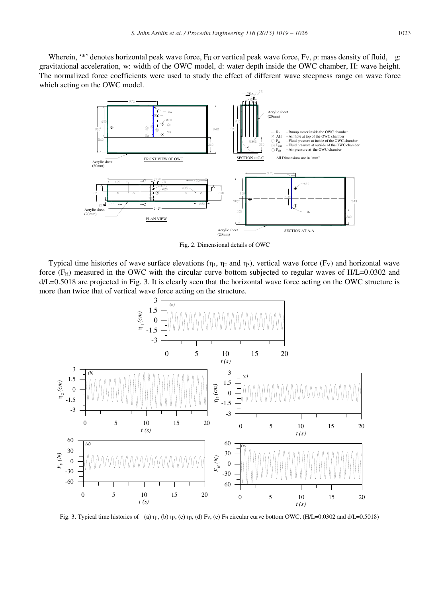Wherein, '\*' denotes horizontal peak wave force,  $F_H$  or vertical peak wave force,  $F_V$ ,  $\rho$ : mass density of fluid, g: gravitational acceleration, w: width of the OWC model, d: water depth inside the OWC chamber, H: wave height. The normalized force coefficients were used to study the effect of different wave steepness range on wave force which acting on the OWC model.



Fig. 2. Dimensional details of OWC

Typical time histories of wave surface elevations ( $\eta_1$ ,  $\eta_2$  and  $\eta_3$ ), vertical wave force (F<sub>V</sub>) and horizontal wave force  $(F<sub>H</sub>)$  measured in the OWC with the circular curve bottom subjected to regular waves of  $H/L=0.0302$  and d/L=0.5018 are projected in Fig. 3. It is clearly seen that the horizontal wave force acting on the OWC structure is more than twice that of vertical wave force acting on the structure.



Fig. 3. Typical time histories of (a)  $\eta_1$ , (b)  $\eta_2$ , (c)  $\eta_3$ , (d) F<sub>V</sub>, (e)  $F_H$  circular curve bottom OWC. (H/L=0.0302 and d/L=0.5018)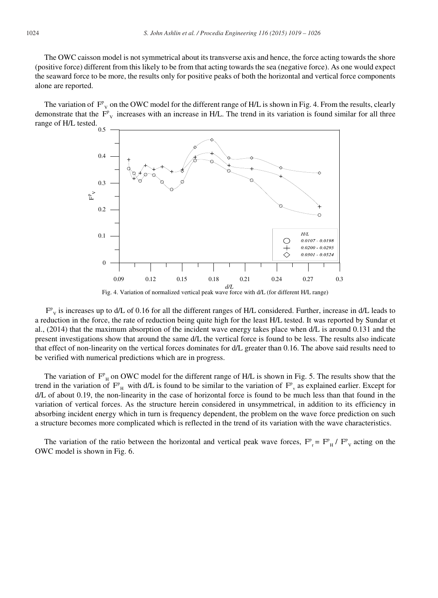The OWC caisson model is not symmetrical about its transverse axis and hence, the force acting towards the shore (positive force) different from this likely to be from that acting towards the sea (negative force). As one would expect the seaward force to be more, the results only for positive peaks of both the horizontal and vertical force components alone are reported.

The variation of  $F_{y}^{p}$  on the OWC model for the different range of H/L is shown in Fig. 4. From the results, clearly demonstrate that the  $F_{v}^{p}$  increases with an increase in H/L. The trend in its variation is found similar for all three range of H/L tested.



Fig. 4. Variation of normalized vertical peak wave force with d/L (for different H/L range)

 $F_{v}^{v}$  is increases up to d/L of 0.16 for all the different ranges of H/L considered. Further, increase in d/L leads to a reduction in the force, the rate of reduction being quite high for the least H/L tested. It was reported by Sundar et al., (2014) that the maximum absorption of the incident wave energy takes place when d/L is around 0.131 and the present investigations show that around the same d/L the vertical force is found to be less. The results also indicate that effect of non-linearity on the vertical forces dominates for d/L greater than 0.16. The above said results need to be verified with numerical predictions which are in progress.

The variation of  $F_{\mu}^{\rho}$  on OWC model for the different range of H/L is shown in Fig. 5. The results show that the trend in the variation of  $F_{H}^p$  with d/L is found to be similar to the variation of  $F_{V}^p$  as explained earlier. Except for d/L of about 0.19, the non-linearity in the case of horizontal force is found to be much less than that found in the variation of vertical forces. As the structure herein considered in unsymmetrical, in addition to its efficiency in absorbing incident energy which in turn is frequency dependent, the problem on the wave force prediction on such a structure becomes more complicated which is reflected in the trend of its variation with the wave characteristics.

The variation of the ratio between the horizontal and vertical peak wave forces,  $F_{r}^{p} = F_{H}^{p} / F_{V}^{p}$  acting on the OWC model is shown in Fig. 6.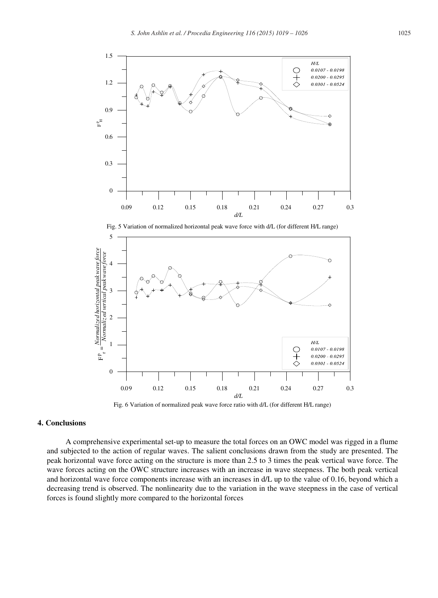

Fig. 5 Variation of normalized horizontal peak wave force with d/L (for different H/L range)



Fig. 6 Variation of normalized peak wave force ratio with d/L (for different H/L range)

## **4. Conclusions**

A comprehensive experimental set-up to measure the total forces on an OWC model was rigged in a flume and subjected to the action of regular waves. The salient conclusions drawn from the study are presented. The peak horizontal wave force acting on the structure is more than 2.5 to 3 times the peak vertical wave force. The wave forces acting on the OWC structure increases with an increase in wave steepness. The both peak vertical and horizontal wave force components increase with an increases in d/L up to the value of 0.16, beyond which a decreasing trend is observed. The nonlinearity due to the variation in the wave steepness in the case of vertical forces is found slightly more compared to the horizontal forces